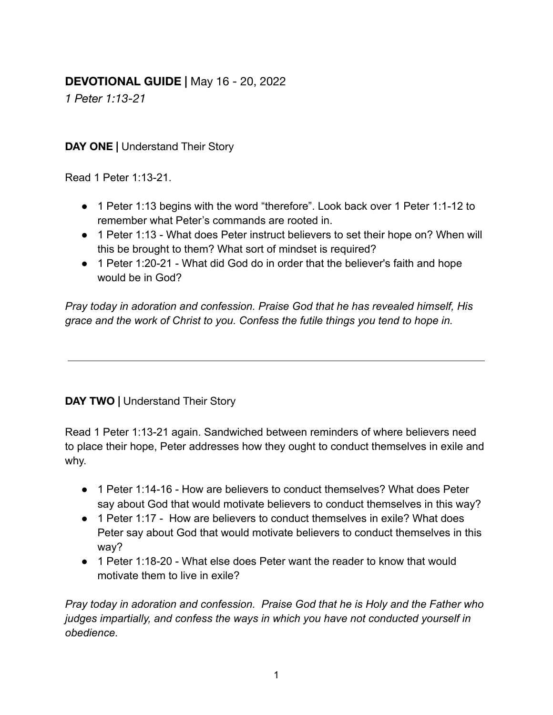## **DEVOTIONAL GUIDE |** May 16 - 20, 2022

*1 Peter 1:13-21*

**DAY ONE |** Understand Their Story

Read 1 Peter 1:13-21.

- 1 Peter 1:13 begins with the word "therefore". Look back over 1 Peter 1:1-12 to remember what Peter's commands are rooted in.
- 1 Peter 1:13 What does Peter instruct believers to set their hope on? When will this be brought to them? What sort of mindset is required?
- 1 Peter 1:20-21 What did God do in order that the believer's faith and hope would be in God?

*Pray today in adoration and confession. Praise God that he has revealed himself, His grace and the work of Christ to you. Confess the futile things you tend to hope in.*

## **DAY TWO |** Understand Their Story

Read 1 Peter 1:13-21 again. Sandwiched between reminders of where believers need to place their hope, Peter addresses how they ought to conduct themselves in exile and why.

- 1 Peter 1:14-16 How are believers to conduct themselves? What does Peter say about God that would motivate believers to conduct themselves in this way?
- 1 Peter 1:17 How are believers to conduct themselves in exile? What does Peter say about God that would motivate believers to conduct themselves in this way?
- 1 Peter 1:18-20 What else does Peter want the reader to know that would motivate them to live in exile?

*Pray today in adoration and confession. Praise God that he is Holy and the Father who judges impartially, and confess the ways in which you have not conducted yourself in obedience.*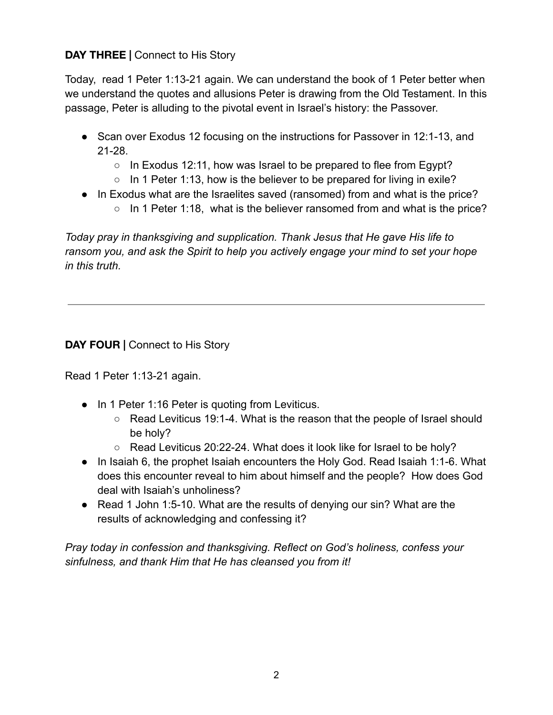## **DAY THREE |** Connect to His Story

Today, read 1 Peter 1:13-21 again. We can understand the book of 1 Peter better when we understand the quotes and allusions Peter is drawing from the Old Testament. In this passage, Peter is alluding to the pivotal event in Israel's history: the Passover.

- Scan over Exodus 12 focusing on the instructions for Passover in 12:1-13, and 21-28.
	- $\circ$  In Exodus 12:11, how was Israel to be prepared to flee from Egypt?
	- $\circ$  In 1 Peter 1:13, how is the believer to be prepared for living in exile?
- In Exodus what are the Israelites saved (ransomed) from and what is the price?
	- In 1 Peter 1:18, what is the believer ransomed from and what is the price?

*Today pray in thanksgiving and supplication. Thank Jesus that He gave His life to ransom you, and ask the Spirit to help you actively engage your mind to set your hope in this truth.*

**DAY FOUR |** Connect to His Story

Read 1 Peter 1:13-21 again.

- In 1 Peter 1:16 Peter is quoting from Leviticus.
	- Read Leviticus 19:1-4. What is the reason that the people of Israel should be holy?
	- Read Leviticus 20:22-24. What does it look like for Israel to be holy?
- In Isaiah 6, the prophet Isaiah encounters the Holy God. Read Isaiah 1:1-6. What does this encounter reveal to him about himself and the people? How does God deal with Isaiah's unholiness?
- Read 1 John 1:5-10. What are the results of denying our sin? What are the results of acknowledging and confessing it?

*Pray today in confession and thanksgiving. Reflect on God's holiness, confess your sinfulness, and thank Him that He has cleansed you from it!*